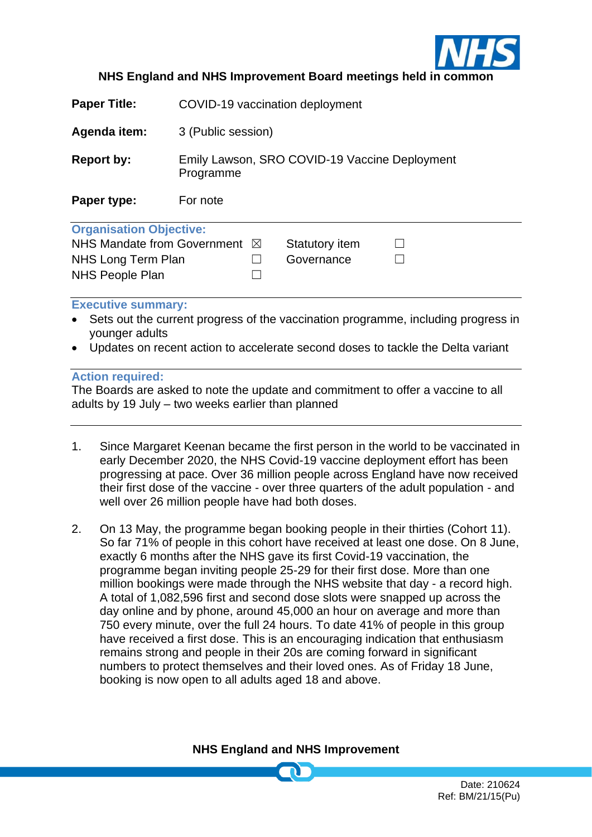

## **NHS England and NHS Improvement Board meetings held in common**

| <b>Paper Title:</b>                     | COVID-19 vaccination deployment                            |                |  |
|-----------------------------------------|------------------------------------------------------------|----------------|--|
| Agenda item:                            | 3 (Public session)                                         |                |  |
| <b>Report by:</b>                       | Emily Lawson, SRO COVID-19 Vaccine Deployment<br>Programme |                |  |
| Paper type:                             | For note                                                   |                |  |
| <b>Organisation Objective:</b>          |                                                            |                |  |
| NHS Mandate from Government $\boxtimes$ |                                                            | Statutory item |  |
| NHS Long Term Plan                      |                                                            | Governance     |  |
| <b>NHS People Plan</b>                  |                                                            |                |  |
| <b>Executive summary:</b>               |                                                            |                |  |

- Sets out the current progress of the vaccination programme, including progress in younger adults
- Updates on recent action to accelerate second doses to tackle the Delta variant

## **Action required:**

The Boards are asked to note the update and commitment to offer a vaccine to all adults by 19 July – two weeks earlier than planned

- 1. Since Margaret Keenan became the first person in the world to be vaccinated in early December 2020, the NHS Covid-19 vaccine deployment effort has been progressing at pace. Over 36 million people across England have now received their first dose of the vaccine - over three quarters of the adult population - and well over 26 million people have had both doses.
- 2. On 13 May, the programme began booking people in their thirties (Cohort 11). So far 71% of people in this cohort have received at least one dose. On 8 June, exactly 6 months after the NHS gave its first Covid-19 vaccination, the programme began inviting people 25-29 for their first dose. More than one million bookings were made through the NHS website that day - a record high. A total of 1,082,596 first and second dose slots were snapped up across the day online and by phone, around 45,000 an hour on average and more than 750 every minute, over the full 24 hours. To date 41% of people in this group have received a first dose. This is an encouraging indication that enthusiasm remains strong and people in their 20s are coming forward in significant numbers to protect themselves and their loved ones. As of Friday 18 June, booking is now open to all adults aged 18 and above.

**NHS England and NHS Improvement**